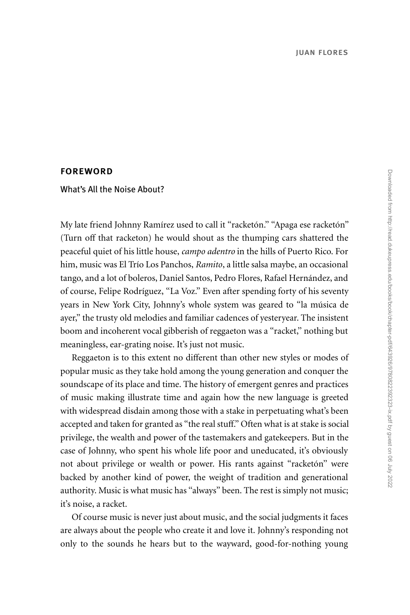## foreword

What's All the Noise About?

My late friend Johnny Ramírez used to call it ''racketón.'' ''Apaga ese racketón'' (Turn off that racketon) he would shout as the thumping cars shattered the peaceful quiet of his little house, *campo adentro* in the hills of Puerto Rico. For him, music was El Trío Los Panchos, *Ramito*, a little salsa maybe, an occasional tango, and a lot of boleros, Daniel Santos, Pedro Flores, Rafael Hernández, and of course, Felipe Rodríguez, ''La Voz.'' Even after spending forty of his seventy years in New York City, Johnny's whole system was geared to ''la música de ayer,'' the trusty old melodies and familiar cadences of yesteryear. The insistent boom and incoherent vocal gibberish of reggaeton was a ''racket,'' nothing but meaningless, ear-grating noise. It's just not music.

Reggaeton is to this extent no different than other new styles or modes of popular music as they take hold among the young generation and conquer the soundscape of its place and time. The history of emergent genres and practices of music making illustrate time and again how the new language is greeted with widespread disdain among those with a stake in perpetuating what's been accepted and taken for granted as "the real stuff." Often what is at stake is social privilege, the wealth and power of the tastemakers and gatekeepers. But in the case of Johnny, who spent his whole life poor and uneducated, it's obviously not about privilege or wealth or power. His rants against ''racketón'' were backed by another kind of power, the weight of tradition and generational authority. Music is what music has ''always'' been. The rest is simply not music; it's noise, a racket.

Of course music is never just about music, and the social judgments it faces are always about the people who create it and love it. Johnny's responding not only to the sounds he hears but to the wayward, good-for-nothing young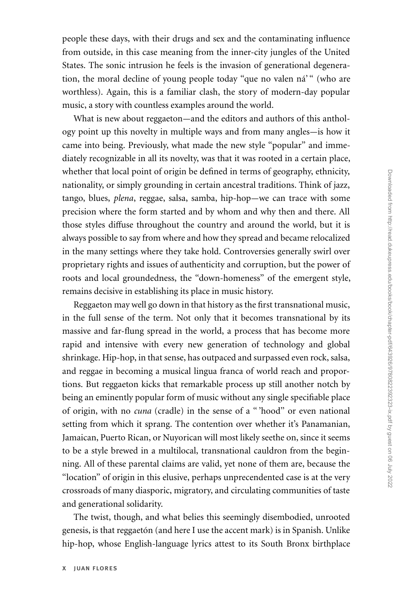people these days, with their drugs and sex and the contaminating influence from outside, in this case meaning from the inner-city jungles of the United States. The sonic intrusion he feels is the invasion of generational degeneration, the moral decline of young people today ''que no valen ná' '' (who are worthless). Again, this is a familiar clash, the story of modern-day popular music, a story with countless examples around the world.

What is new about reggaeton—and the editors and authors of this anthology point up this novelty in multiple ways and from many angles—is how it came into being. Previously, what made the new style ''popular'' and immediately recognizable in all its novelty, was that it was rooted in a certain place, whether that local point of origin be defined in terms of geography, ethnicity, nationality, or simply grounding in certain ancestral traditions. Think of jazz, tango, blues, *plena*, reggae, salsa, samba, hip-hop—we can trace with some precision where the form started and by whom and why then and there. All those styles diffuse throughout the country and around the world, but it is always possible to say from where and how they spread and became relocalized in the many settings where they take hold. Controversies generally swirl over proprietary rights and issues of authenticity and corruption, but the power of roots and local groundedness, the ''down-homeness'' of the emergent style, remains decisive in establishing its place in music history.

Reggaeton may well go down in that history as the first transnational music, in the full sense of the term. Not only that it becomes transnational by its massive and far-flung spread in the world, a process that has become more rapid and intensive with every new generation of technology and global shrinkage. Hip-hop, in that sense, has outpaced and surpassed even rock, salsa, and reggae in becoming a musical lingua franca of world reach and proportions. But reggaeton kicks that remarkable process up still another notch by being an eminently popular form of music without any single specifiable place of origin, with no *cuna* (cradle) in the sense of a '' 'hood'' or even national setting from which it sprang. The contention over whether it's Panamanian, Jamaican, Puerto Rican, or Nuyorican will most likely seethe on, since it seems to be a style brewed in a multilocal, transnational cauldron from the beginning. All of these parental claims are valid, yet none of them are, because the ''location'' of origin in this elusive, perhaps unprecendented case is at the very crossroads of many diasporic, migratory, and circulating communities of taste and generational solidarity.

The twist, though, and what belies this seemingly disembodied, unrooted genesis, is that reggaetón (and here I use the accent mark) is in Spanish. Unlike hip-hop, whose English-language lyrics attest to its South Bronx birthplace